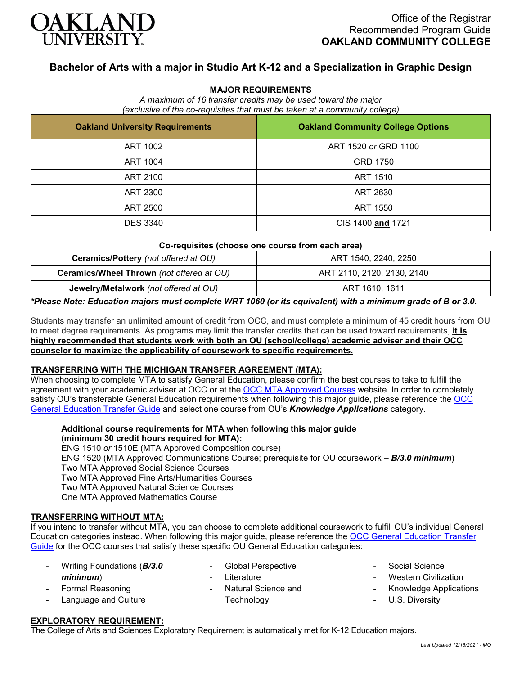

## **Bachelor of Arts with a major in Studio Art K-12 and a Specialization in Graphic Design**

#### **MAJOR REQUIREMENTS**

*A maximum of 16 transfer credits may be used toward the major (exclusive of the co-requisites that must be taken at a community college)*

| <b>Oakland University Requirements</b> | <b>Oakland Community College Options</b> |  |  |
|----------------------------------------|------------------------------------------|--|--|
| ART 1002                               | ART 1520 or GRD 1100                     |  |  |
| ART 1004                               | GRD 1750                                 |  |  |
| ART 2100                               | ART 1510                                 |  |  |
| ART 2300                               | ART 2630                                 |  |  |
| ART 2500                               | ART 1550                                 |  |  |
| <b>DES 3340</b>                        | CIS 1400 and 1721                        |  |  |

#### **Co-requisites (choose one course from each area)**

| Ceramics/Pottery (not offered at OU)      | ART 1540, 2240, 2250       |  |
|-------------------------------------------|----------------------------|--|
| Ceramics/Wheel Thrown (not offered at OU) | ART 2110, 2120, 2130, 2140 |  |
| Jewelry/Metalwork (not offered at OU)     | ART 1610, 1611             |  |

*\*Please Note: Education majors must complete WRT 1060 (or its equivalent) with a minimum grade of B or 3.0.*

Students may transfer an unlimited amount of credit from OCC, and must complete a minimum of 45 credit hours from OU to meet degree requirements. As programs may limit the transfer credits that can be used toward requirements, **it is highly recommended that students work with both an OU (school/college) academic adviser and their OCC counselor to maximize the applicability of coursework to specific requirements.**

#### **TRANSFERRING WITH THE MICHIGAN TRANSFER AGREEMENT (MTA):**

When choosing to complete MTA to satisfy General Education, please confirm the best courses to take to fulfill the agreement with your academic adviser at OCC or at the [OCC MTA Approved Courses](http://catalog.oaklandcc.edu/graduation-requirements/michigan-transfer-agreement/) website. In order to completely satisfy OU's transferable General Education requirements when following this major guide, please reference the [OCC](https://www.oakland.edu/Assets/Oakland/program-guides/oakland-community-college/university-general-education-requirements/OCC%20Gen%20Ed.pdf)  [General Education Transfer Guide](https://www.oakland.edu/Assets/Oakland/program-guides/oakland-community-college/university-general-education-requirements/OCC%20Gen%20Ed.pdf) and select one course from OU's *Knowledge Applications* category.

**Additional course requirements for MTA when following this major guide (minimum 30 credit hours required for MTA):**

ENG 1510 *or* 1510E (MTA Approved Composition course) ENG 1520 (MTA Approved Communications Course; prerequisite for OU coursework *– B/3.0 minimum*) Two MTA Approved Social Science Courses Two MTA Approved Fine Arts/Humanities Courses Two MTA Approved Natural Science Courses One MTA Approved Mathematics Course

#### **TRANSFERRING WITHOUT MTA:**

If you intend to transfer without MTA, you can choose to complete additional coursework to fulfill OU's individual General Education categories instead. When following this major guide, please reference the [OCC General Education Transfer](https://www.oakland.edu/Assets/Oakland/program-guides/oakland-community-college/university-general-education-requirements/OCC%20Gen%20Ed.pdf)  [Guide](https://www.oakland.edu/Assets/Oakland/program-guides/oakland-community-college/university-general-education-requirements/OCC%20Gen%20Ed.pdf) for the OCC courses that satisfy these specific OU General Education categories:

| $\overline{\phantom{a}}$ | Writing Foundations ( <b>B/3.0</b> | - Global Perspective  |
|--------------------------|------------------------------------|-----------------------|
|                          | minimum)                           | - Literature          |
|                          | - Formal Reasoning                 | - Natural Science and |
|                          | - Language and Culture             | Technology            |
|                          |                                    |                       |

# Social Science

- **Western Civilization**
- Knowledge Applications
- U.S. Diversity

### **EXPLORATORY REQUIREMENT:**

The College of Arts and Sciences Exploratory Requirement is automatically met for K-12 Education majors.